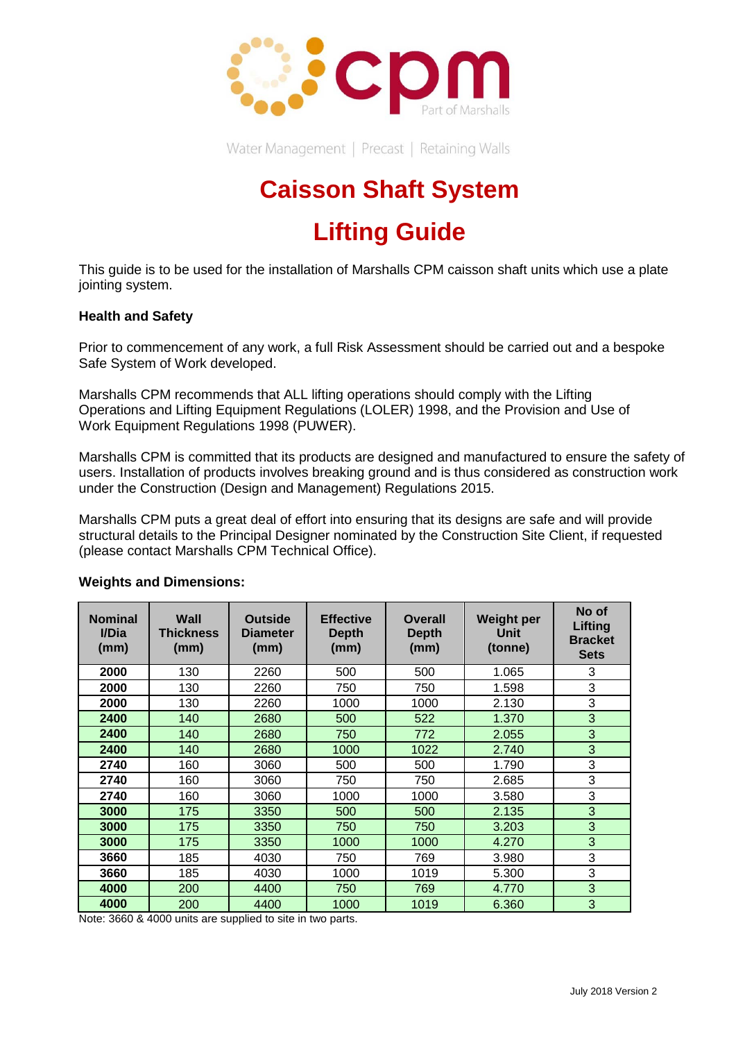

Water Management | Precast | Retaining Walls

# **Caisson Shaft System**

# **Lifting Guide**

This guide is to be used for the installation of Marshalls CPM caisson shaft units which use a plate jointing system.

### **Health and Safety**

Prior to commencement of any work, a full Risk Assessment should be carried out and a bespoke Safe System of Work developed.

Marshalls CPM recommends that ALL lifting operations should comply with the Lifting Operations and Lifting Equipment Regulations (LOLER) 1998, and the Provision and Use of Work Equipment Regulations 1998 (PUWER).

Marshalls CPM is committed that its products are designed and manufactured to ensure the safety of users. Installation of products involves breaking ground and is thus considered as construction work under the Construction (Design and Management) Regulations 2015.

Marshalls CPM puts a great deal of effort into ensuring that its designs are safe and will provide structural details to the Principal Designer nominated by the Construction Site Client, if requested (please contact Marshalls CPM Technical Office).

| <b>Nominal</b><br>I/Dia<br>(mm) | Wall<br><b>Thickness</b><br>(mm) | <b>Outside</b><br><b>Diameter</b><br>(mm) | <b>Effective</b><br>Depth<br>(mm) | Overall<br>Depth<br>(mm) | <b>Weight per</b><br><b>Unit</b><br>(tonne) | No of<br>Lifting<br><b>Bracket</b><br><b>Sets</b> |
|---------------------------------|----------------------------------|-------------------------------------------|-----------------------------------|--------------------------|---------------------------------------------|---------------------------------------------------|
| 2000                            | 130                              | 2260                                      | 500                               | 500                      | 1.065                                       | 3                                                 |
| 2000                            | 130                              | 2260                                      | 750                               | 750                      | 1.598                                       | 3                                                 |
| 2000                            | 130                              | 2260                                      | 1000                              | 1000                     | 2.130                                       | 3                                                 |
| 2400                            | 140                              | 2680                                      | 500                               | 522                      | 1.370                                       | 3                                                 |
| 2400                            | 140                              | 2680                                      | 750                               | 772                      | 2.055                                       | 3                                                 |
| 2400                            | 140                              | 2680                                      | 1000                              | 1022                     | 2.740                                       | 3                                                 |
| 2740                            | 160                              | 3060                                      | 500                               | 500                      | 1.790                                       | 3                                                 |
| 2740                            | 160                              | 3060                                      | 750                               | 750                      | 2.685                                       | 3                                                 |
| 2740                            | 160                              | 3060                                      | 1000                              | 1000                     | 3.580                                       | 3                                                 |
| 3000                            | 175                              | 3350                                      | 500                               | 500                      | 2.135                                       | 3                                                 |
| 3000                            | 175                              | 3350                                      | 750                               | 750                      | 3.203                                       | 3                                                 |
| 3000                            | 175                              | 3350                                      | 1000                              | 1000                     | 4.270                                       | 3                                                 |
| 3660                            | 185                              | 4030                                      | 750                               | 769                      | 3.980                                       | 3                                                 |
| 3660                            | 185                              | 4030                                      | 1000                              | 1019                     | 5.300                                       | 3                                                 |
| 4000                            | 200                              | 4400                                      | 750                               | 769                      | 4.770                                       | 3                                                 |
| 4000                            | 200                              | 4400                                      | 1000                              | 1019                     | 6.360                                       | 3                                                 |

## **Weights and Dimensions:**

Note: 3660 & 4000 units are supplied to site in two parts.